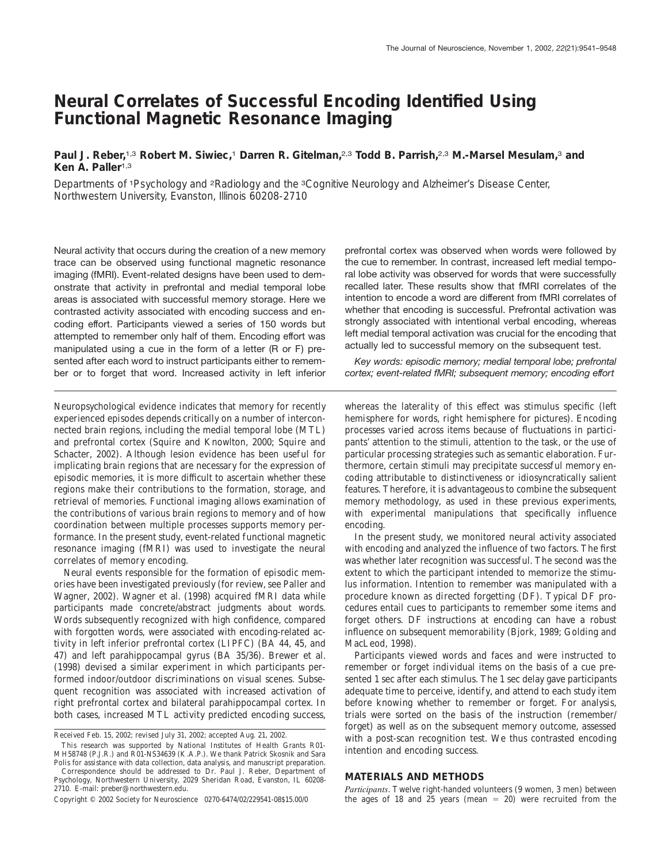# **Neural Correlates of Successful Encoding Identified Using Functional Magnetic Resonance Imaging**

# **Paul J. Reber,**1,3 **Robert M. Siwiec,**<sup>1</sup> **Darren R. Gitelman,**2,3 **Todd B. Parrish,**2,3 **M.-Marsel Mesulam,**<sup>3</sup> **and Ken A. Paller**1,3

*Departments of* <sup>1</sup>*Psychology and* <sup>2</sup>*Radiology and the* <sup>3</sup>*Cognitive Neurology and Alzheimer's Disease Center, Northwestern University, Evanston, Illinois 60208-2710*

Neural activity that occurs during the creation of a new memory trace can be observed using functional magnetic resonance imaging (fMRI). Event-related designs have been used to demonstrate that activity in prefrontal and medial temporal lobe areas is associated with successful memory storage. Here we contrasted activity associated with encoding success and encoding effort. Participants viewed a series of 150 words but attempted to remember only half of them. Encoding effort was manipulated using a cue in the form of a letter (R or F) presented after each word to instruct participants either to remember or to forget that word. Increased activity in left inferior

Neuropsychological evidence indicates that memory for recently experienced episodes depends critically on a number of interconnected brain regions, including the medial temporal lobe (MTL) and prefrontal cortex (Squire and Knowlton, 2000; Squire and Schacter, 2002). Although lesion evidence has been useful for implicating brain regions that are necessary for the expression of episodic memories, it is more difficult to ascertain whether these regions make their contributions to the formation, storage, and retrieval of memories. Functional imaging allows examination of the contributions of various brain regions to memory and of how coordination between multiple processes supports memory performance. In the present study, event-related functional magnetic resonance imaging (fMRI) was used to investigate the neural correlates of memory encoding.

Neural events responsible for the formation of episodic memories have been investigated previously (for review, see Paller and Wagner, 2002). Wagner et al. (1998) acquired fMRI data while participants made concrete/abstract judgments about words. Words subsequently recognized with high confidence, compared with forgotten words, were associated with encoding-related activity in left inferior prefrontal cortex (LIPFC) (BA 44, 45, and 47) and left parahippocampal gyrus (BA 35/36). Brewer et al. (1998) devised a similar experiment in which participants performed indoor/outdoor discriminations on visual scenes. Subsequent recognition was associated with increased activation of right prefrontal cortex and bilateral parahippocampal cortex. In both cases, increased MTL activity predicted encoding success,

This research was supported by National Institutes of Health Grants R01- MH58748 (P.J.R.) and R01-NS34639 (K.A.P.). We thank Patrick Skosnik and Sara Polis for assistance with data collection, data analysis, and manuscript preparation.

prefrontal cortex was observed when words were followed by the cue to remember. In contrast, increased left medial temporal lobe activity was observed for words that were successfully recalled later. These results show that fMRI correlates of the intention to encode a word are different from fMRI correlates of whether that encoding is successful. Prefrontal activation was strongly associated with intentional verbal encoding, whereas left medial temporal activation was crucial for the encoding that actually led to successful memory on the subsequent test.

*Key words: episodic memory; medial temporal lobe; prefrontal cortex; event-related fMRI; subsequent memory; encoding effort*

whereas the laterality of this effect was stimulus specific (left hemisphere for words, right hemisphere for pictures). Encoding processes varied across items because of fluctuations in participants' attention to the stimuli, attention to the task, or the use of particular processing strategies such as semantic elaboration. Furthermore, certain stimuli may precipitate successful memory encoding attributable to distinctiveness or idiosyncratically salient features. Therefore, it is advantageous to combine the subsequent memory methodology, as used in these previous experiments, with experimental manipulations that specifically influence encoding.

In the present study, we monitored neural activity associated with encoding and analyzed the influence of two factors. The first was whether later recognition was successful. The second was the extent to which the participant intended to memorize the stimulus information. Intention to remember was manipulated with a procedure known as directed forgetting (DF). Typical DF procedures entail cues to participants to remember some items and forget others. DF instructions at encoding can have a robust influence on subsequent memorability (Bjork, 1989; Golding and MacLeod, 1998).

Participants viewed words and faces and were instructed to remember or forget individual items on the basis of a cue presented 1 sec after each stimulus. The 1 sec delay gave participants adequate time to perceive, identify, and attend to each study item before knowing whether to remember or forget. For analysis, trials were sorted on the basis of the instruction (remember/ forget) as well as on the subsequent memory outcome, assessed with a post-scan recognition test. We thus contrasted encoding intention and encoding success.

## **MATERIALS AND METHODS**

*Participants*. Twelve right-handed volunteers (9 women, 3 men) between the ages of 18 and  $25$  years (mean  $= 20$ ) were recruited from the

Received Feb. 15, 2002; revised July 31, 2002; accepted Aug. 21, 2002.

Correspondence should be addressed to Dr. Paul J. Reber, Department of Psychology, Northwestern University, 2029 Sheridan Road, Evanston, IL 60208- 2710. E-mail: preber@northwestern.edu.

Copyright © 2002 Society for Neuroscience 0270-6474/02/229541-08\$15.00/0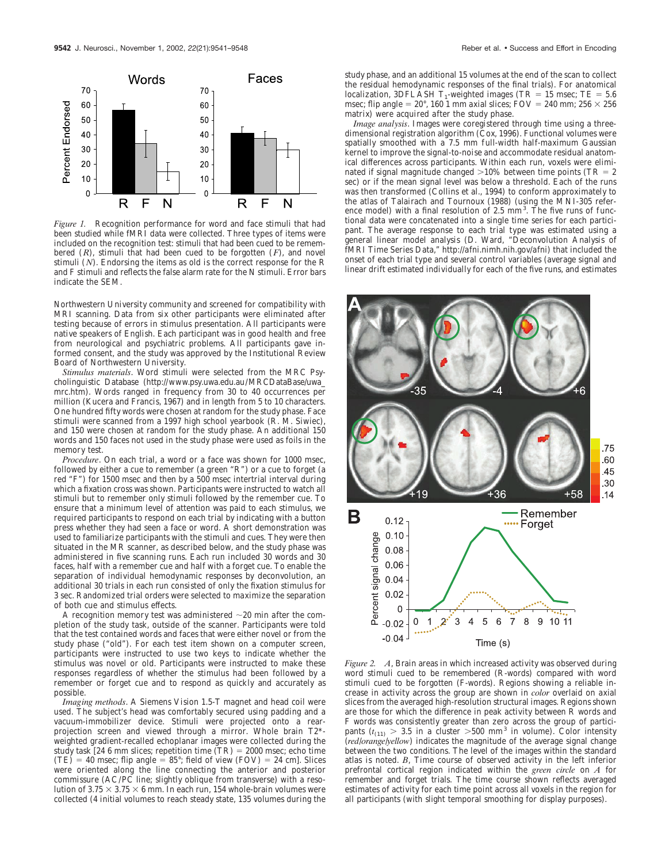

*Figure 1.* Recognition performance for word and face stimuli that had been studied while fMRI data were collected. Three types of items were included on the recognition test: stimuli that had been cued to be remembered (*R*), stimuli that had been cued to be forgotten (*F*), and novel stimuli (*N*). Endorsing the items as old is the correct response for the R and F stimuli and reflects the false alarm rate for the N stimuli. Error bars indicate the SEM.

Northwestern University community and screened for compatibility with MRI scanning. Data from six other participants were eliminated after testing because of errors in stimulus presentation. All participants were native speakers of English. Each participant was in good health and free from neurological and psychiatric problems. All participants gave informed consent, and the study was approved by the Institutional Review Board of Northwestern University.

*Stimulus materials*. Word stimuli were selected from the MRC Psycholinguistic Database (http://www.psy.uwa.edu.au/MRCDataBase/uwa\_ mrc.htm). Words ranged in frequency from 30 to 40 occurrences per million (Kucera and Francis, 1967) and in length from 5 to 10 characters. One hundred fifty words were chosen at random for the study phase. Face stimuli were scanned from a 1997 high school yearbook (R. M. Siwiec), and 150 were chosen at random for the study phase. An additional 150 words and 150 faces not used in the study phase were used as foils in the memory test.

*Procedure*. On each trial, a word or a face was shown for 1000 msec, followed by either a cue to remember (a green "R") or a cue to forget (a red "F") for 1500 msec and then by a 500 msec intertrial interval during which a fixation cross was shown. Participants were instructed to watch all stimuli but to remember only stimuli followed by the remember cue. To ensure that a minimum level of attention was paid to each stimulus, we required participants to respond on each trial by indicating with a button press whether they had seen a face or word. A short demonstration was used to familiarize participants with the stimuli and cues. They were then situated in the MR scanner, as described below, and the study phase was administered in five scanning runs. Each run included 30 words and 30 faces, half with a remember cue and half with a forget cue. To enable the separation of individual hemodynamic responses by deconvolution, an additional 30 trials in each run consisted of only the fixation stimulus for 3 sec. Randomized trial orders were selected to maximize the separation of both cue and stimulus effects.

A recognition memory test was administered  ${\sim}20$  min after the completion of the study task, outside of the scanner. Participants were told that the test contained words and faces that were either novel or from the study phase ("old"). For each test item shown on a computer screen, participants were instructed to use two keys to indicate whether the stimulus was novel or old. Participants were instructed to make these responses regardless of whether the stimulus had been followed by a remember or forget cue and to respond as quickly and accurately as possible.

*Imaging methods*. A Siemens Vision 1.5-T magnet and head coil were used. The subject's head was comfortably secured using padding and a vacuum-immobilizer device. Stimuli were projected onto a rearprojection screen and viewed through a mirror. Whole brain T2\* weighted gradient-recalled echoplanar images were collected during the study task [24 6 mm slices; repetition time  $(TR) = 2000$  msec; echo time  $(TE) = 40$  msec; flip angle = 85°; field of view  $(FOV) = 24$  cm]. Slices were oriented along the line connecting the anterior and posterior commissure (AC/PC line; slightly oblique from transverse) with a resolution of  $3.75 \times 3.75 \times 6$  mm. In each run, 154 whole-brain volumes were collected (4 initial volumes to reach steady state, 135 volumes during the

study phase, and an additional 15 volumes at the end of the scan to collect the residual hemodynamic responses of the final trials). For anatomical localization, 3DFLASH T<sub>1</sub>-weighted images (TR = 15 msec; TE =  $5.6$ ) msec; flip angle =  $20^{\circ}$ , 160 1 mm axial slices; FOV =  $240$  mm;  $256 \times 256$ matrix) were acquired after the study phase.

*Image analysis*. Images were coregistered through time using a threedimensional registration algorithm (Cox, 1996). Functional volumes were spatially smoothed with a 7.5 mm full-width half-maximum Gaussian kernel to improve the signal-to-noise and accommodate residual anatomical differences across participants. Within each run, voxels were eliminated if signal magnitude changed  $>10\%$  between time points (TR = 2 sec) or if the mean signal level was below a threshold. Each of the runs was then transformed (Collins et al., 1994) to conform approximately to the atlas of Talairach and Tournoux (1988) (using the MNI-305 reference model) with a final resolution of 2.5 mm<sup>3</sup>. The five runs of functional data were concatenated into a single time series for each participant. The average response to each trial type was estimated using a general linear model analysis (D. Ward, "Deconvolution Analysis of fMRI Time Series Data," http://afni.nimh.nih.gov/afni) that included the onset of each trial type and several control variables (average signal and linear drift estimated individually for each of the five runs, and estimates



*Figure 2. A*, Brain areas in which increased activity was observed during word stimuli cued to be remembered (R-words) compared with word stimuli cued to be forgotten (F-words). Regions showing a reliable increase in activity across the group are shown in *color* overlaid on axial slices from the averaged high-resolution structural images. Regions shown are those for which the difference in peak activity between R words and F words was consistently greater than zero across the group of participants  $(t_{(11)} > 3.5$  in a cluster  $> 500$  mm<sup>3</sup> in volume). Color intensity (*red*/*orange*/*yellow*) indicates the magnitude of the average signal change between the two conditions. The level of the images within the standard atlas is noted. *B*, Time course of observed activity in the left inferior prefrontal cortical region indicated within the *green circle* on *A* for remember and forget trials. The time course shown reflects averaged estimates of activity for each time point across all voxels in the region for all participants (with slight temporal smoothing for display purposes).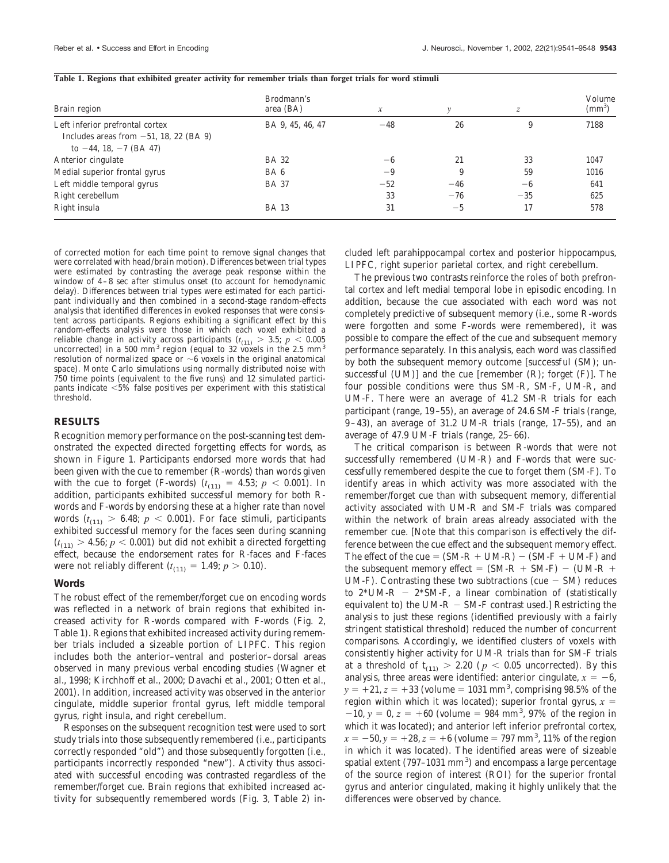| Table 1. Regions that exhibited greater activity for remember trials than forget trials for word stimuli |  |  |  |  |  |  |  |  |  |  |  |  |  |  |  |  |
|----------------------------------------------------------------------------------------------------------|--|--|--|--|--|--|--|--|--|--|--|--|--|--|--|--|
|----------------------------------------------------------------------------------------------------------|--|--|--|--|--|--|--|--|--|--|--|--|--|--|--|--|

| Brain region                                                                                                | Brodmann's<br>area (BA) | $\boldsymbol{x}$ |       | $\mathcal{Z}$ | Volume<br>$\rm (mm^3)$ |
|-------------------------------------------------------------------------------------------------------------|-------------------------|------------------|-------|---------------|------------------------|
| Left inferior prefrontal cortex<br>Includes areas from $-51$ , 18, 22 (BA 9)<br>to $-44$ , 18, $-7$ (BA 47) | BA 9, 45, 46, 47        | $-48$            | 26    | 9             | 7188                   |
| Anterior cingulate                                                                                          | <b>BA</b> 32            | $-6$             | 21    | 33            | 1047                   |
| Medial superior frontal gyrus                                                                               | BA 6                    | $-9$             | 9     | 59            | 1016                   |
| Left middle temporal gyrus                                                                                  | <b>BA 37</b>            | $-52$            | $-46$ | $-6$          | 641                    |
| Right cerebellum                                                                                            |                         | 33               | $-76$ | $-35$         | 625                    |
| Right insula                                                                                                | <b>BA</b> 13            | 31               | $-5$  | 17            | 578                    |

of corrected motion for each time point to remove signal changes that were correlated with head/brain motion). Differences between trial types were estimated by contrasting the average peak response within the window of 4–8 sec after stimulus onset (to account for hemodynamic delay). Differences between trial types were estimated for each participant individually and then combined in a second-stage random-effects analysis that identified differences in evoked responses that were consistent across participants. Regions exhibiting a significant effect by this random-effects analysis were those in which each voxel exhibited a reliable change in activity across participants ( $t_{(11)} > 3.5$ ;  $p < 0.005$ ) uncorrected) in a 500 mm<sup>3</sup> region (equal to 32 voxels in the 2.5 mm<sup>3</sup> resolution of normalized space or  ${\sim}6$  voxels in the original anatomical space). Monte Carlo simulations using normally distributed noise with 750 time points (equivalent to the five runs) and 12 simulated participants indicate 5% false positives per experiment with this statistical threshold.

# **RESULTS**

Recognition memory performance on the post-scanning test demonstrated the expected directed forgetting effects for words, as shown in Figure 1. Participants endorsed more words that had been given with the cue to remember (R-words) than words given with the cue to forget (F-words)  $(t_{(11)} = 4.53; p < 0.001)$ . In addition, participants exhibited successful memory for both Rwords and F-words by endorsing these at a higher rate than novel words  $(t_{(11)} > 6.48; p < 0.001)$ . For face stimuli, participants exhibited successful memory for the faces seen during scanning  $(t_{(11)} > 4.56; p < 0.001)$  but did not exhibit a directed forgetting effect, because the endorsement rates for R-faces and F-faces were not reliably different  $(t_{(11)} = 1.49; p > 0.10)$ .

# **Words**

The robust effect of the remember/forget cue on encoding words was reflected in a network of brain regions that exhibited increased activity for R-words compared with F-words (Fig. 2, Table 1). Regions that exhibited increased activity during remember trials included a sizeable portion of LIPFC. This region includes both the anterior–ventral and posterior–dorsal areas observed in many previous verbal encoding studies (Wagner et al., 1998; Kirchhoff et al., 2000; Davachi et al., 2001; Otten et al., 2001). In addition, increased activity was observed in the anterior cingulate, middle superior frontal gyrus, left middle temporal gyrus, right insula, and right cerebellum.

Responses on the subsequent recognition test were used to sort study trials into those subsequently remembered (i.e., participants correctly responded "old") and those subsequently forgotten (i.e., participants incorrectly responded "new"). Activity thus associated with successful encoding was contrasted regardless of the remember/forget cue. Brain regions that exhibited increased activity for subsequently remembered words (Fig. 3, Table 2) included left parahippocampal cortex and posterior hippocampus, LIPFC, right superior parietal cortex, and right cerebellum.

The previous two contrasts reinforce the roles of both prefrontal cortex and left medial temporal lobe in episodic encoding. In addition, because the cue associated with each word was not completely predictive of subsequent memory (i.e., some R-words were forgotten and some F-words were remembered), it was possible to compare the effect of the cue and subsequent memory performance separately. In this analysis, each word was classified by both the subsequent memory outcome [successful (SM); unsuccessful (UM)] and the cue [remember (R); forget (F)]. The four possible conditions were thus SM-R, SM-F, UM-R, and UM-F. There were an average of 41.2 SM-R trials for each participant (range, 19–55), an average of 24.6 SM-F trials (range, 9–43), an average of 31.2 UM-R trials (range, 17–55), and an average of 47.9 UM-F trials (range, 25–66).

The critical comparison is between R-words that were not successfully remembered (UM-R) and F-words that were successfully remembered despite the cue to forget them (SM-F). To identify areas in which activity was more associated with the remember/forget cue than with subsequent memory, differential activity associated with UM-R and SM-F trials was compared within the network of brain areas already associated with the remember cue. [Note that this comparison is effectively the difference between the cue effect and the subsequent memory effect. The effect of the cue =  $(SM-R + UM-R) - (SM-F + UM-F)$  and the subsequent memory effect  $=$  (SM-R  $+$  SM-F)  $-$  (UM-R  $+$ UM-F). Contrasting these two subtractions (cue  $-$  SM) reduces to  $2*UM-R - 2*SM-F$ , a linear combination of (statistically equivalent to) the UM- $R - SM$ -F contrast used.] Restricting the analysis to just these regions (identified previously with a fairly stringent statistical threshold) reduced the number of concurrent comparisons. Accordingly, we identified clusters of voxels with consistently higher activity for UM-R trials than for SM-F trials at a threshold of  $t_{(11)} > 2.20$  ( $p < 0.05$  uncorrected). By this analysis, three areas were identified: anterior cingulate,  $x = -6$ ,  $y = +21$ ,  $z = +33$  (volume = 1031 mm<sup>3</sup>, comprising 98.5% of the region within which it was located); superior frontal gyrus,  $x =$  $-10$ ,  $y = 0$ ,  $z = +60$  (volume = 984 mm<sup>3</sup>, 97% of the region in which it was located); and anterior left inferior prefrontal cortex,  $x = -50, y = +28, z = +6$  (volume = 797 mm<sup>3</sup>, 11% of the region in which it was located). The identified areas were of sizeable spatial extent  $(797-1031 \text{ mm}^3)$  and encompass a large percentage of the source region of interest (ROI) for the superior frontal gyrus and anterior cingulated, making it highly unlikely that the differences were observed by chance.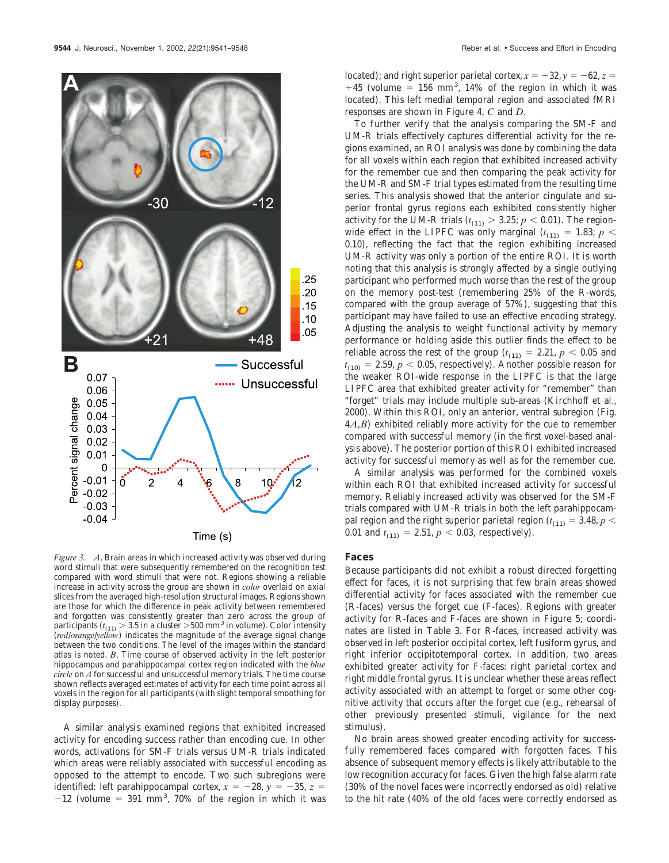

*Figure 3. A*, Brain areas in which increased activity was observed during word stimuli that were subsequently remembered on the recognition test compared with word stimuli that were not. Regions showing a reliable increase in activity across the group are shown in *color* overlaid on axial slices from the averaged high-resolution structural images. Regions shown are those for which the difference in peak activity between remembered and forgotten was consistently greater than zero across the group of participants ( $t_{(11)} > 3.5$  in a cluster  $> 500$  mm<sup>3</sup> in volume). Color intensity (*red*/*orange*/*yellow*) indicates the magnitude of the average signal change between the two conditions. The level of the images within the standard atlas is noted. *B*, Time course of observed activity in the left posterior hippocampus and parahippocampal cortex region indicated with the *blue circle* on *A* for successful and unsuccessful memory trials. The time course shown reflects averaged estimates of activity for each time point across all voxels in the region for all participants (with slight temporal smoothing for display purposes).

A similar analysis examined regions that exhibited increased activity for encoding success rather than encoding cue. In other words, activations for SM-F trials versus UM-R trials indicated which areas were reliably associated with successful encoding as opposed to the attempt to encode. Two such subregions were identified: left parahippocampal cortex,  $x = -28$ ,  $y = -35$ ,  $z =$  $-12$  (volume = 391 mm<sup>3</sup>, 70% of the region in which it was responses are shown in Figure 4, *C* and *D*. To further verify that the analysis comparing the SM-F and UM-R trials effectively captures differential activity for the regions examined, an ROI analysis was done by combining the data for all voxels within each region that exhibited increased activity for the remember cue and then comparing the peak activity for the UM-R and SM-F trial types estimated from the resulting time series. This analysis showed that the anterior cingulate and superior frontal gyrus regions each exhibited consistently higher activity for the UM-R trials  $(t_{(11)} > 3.25; p < 0.01)$ . The regionwide effect in the LIPFC was only marginal  $(t_{(11)} = 1.83; p <$ 0.10), reflecting the fact that the region exhibiting increased UM-R activity was only a portion of the entire ROI. It is worth noting that this analysis is strongly affected by a single outlying participant who performed much worse than the rest of the group on the memory post-test (remembering 25% of the R-words, compared with the group average of 57%), suggesting that this participant may have failed to use an effective encoding strategy. Adjusting the analysis to weight functional activity by memory performance or holding aside this outlier finds the effect to be reliable across the rest of the group  $(t_{(11)} = 2.21, p < 0.05$  and  $t_{(10)} = 2.59, p < 0.05$ , respectively). Another possible reason for the weaker ROI-wide response in the LIPFC is that the large LIPFC area that exhibited greater activity for "remember" than "forget" trials may include multiple sub-areas (Kirchhoff et al., 2000). Within this ROI, only an anterior, ventral subregion (Fig. 4*A*,*B*) exhibited reliably more activity for the cue to remember compared with successful memory (in the first voxel-based analysis above). The posterior portion of this ROI exhibited increased activity for successful memory as well as for the remember cue.

A similar analysis was performed for the combined voxels within each ROI that exhibited increased activity for successful memory. Reliably increased activity was observed for the SM-F trials compared with UM-R trials in both the left parahippocampal region and the right superior parietal region ( $t_{(11)} = 3.48$ ,  $p <$ 0.01 and  $t_{(11)} = 2.51$ ,  $p < 0.03$ , respectively).

#### **Faces**

Because participants did not exhibit a robust directed forgetting effect for faces, it is not surprising that few brain areas showed differential activity for faces associated with the remember cue (R-faces) versus the forget cue (F-faces). Regions with greater activity for R-faces and F-faces are shown in Figure 5; coordinates are listed in Table 3. For R-faces, increased activity was observed in left posterior occipital cortex, left fusiform gyrus, and right inferior occipitotemporal cortex. In addition, two areas exhibited greater activity for F-faces: right parietal cortex and right middle frontal gyrus. It is unclear whether these areas reflect activity associated with an attempt to forget or some other cognitive activity that occurs after the forget cue (e.g., rehearsal of other previously presented stimuli, vigilance for the next stimulus).

No brain areas showed greater encoding activity for successfully remembered faces compared with forgotten faces. This absence of subsequent memory effects is likely attributable to the low recognition accuracy for faces. Given the high false alarm rate (30% of the novel faces were incorrectly endorsed as old) relative to the hit rate (40% of the old faces were correctly endorsed as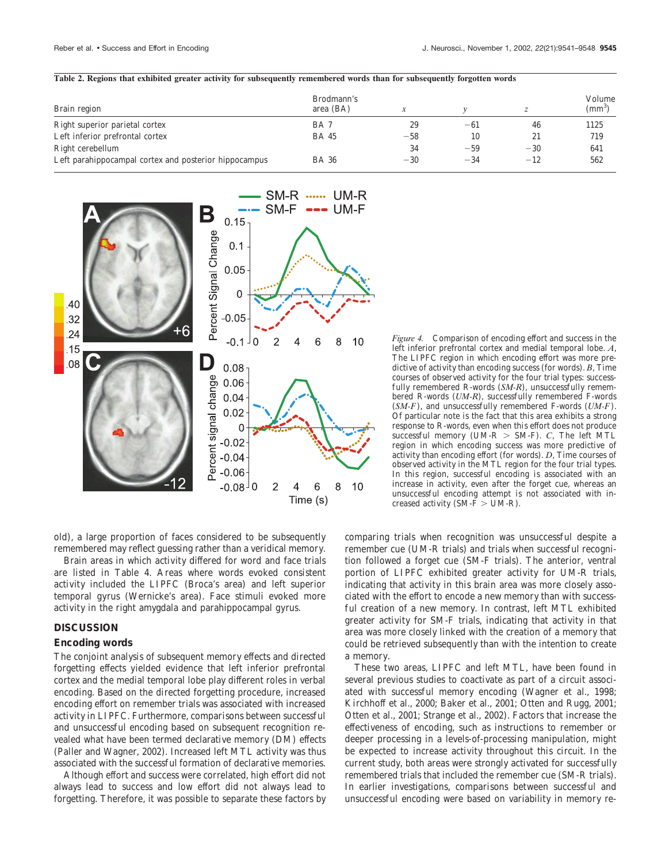|  | Table 2. Regions that exhibited greater activity for subsequently remembered words than for subsequently forgotten words |  |  |
|--|--------------------------------------------------------------------------------------------------------------------------|--|--|
|--|--------------------------------------------------------------------------------------------------------------------------|--|--|

| Brain region                                          | Brodmann's<br>area (BA) |       |       |       | Volume<br>$\rm (mm^3)$ |
|-------------------------------------------------------|-------------------------|-------|-------|-------|------------------------|
| Right superior parietal cortex                        | BA 7                    | 29    | $-61$ | 46    | 1125                   |
| Left inferior prefrontal cortex                       | <b>BA 45</b>            | $-58$ | 10    | 21    | 719                    |
| Right cerebellum                                      |                         | 34    | $-59$ | $-30$ | 641                    |
| Left parahippocampal cortex and posterior hippocampus | <b>BA 36</b>            | $-30$ | $-34$ | $-12$ | 562                    |



*Figure 4.* Comparison of encoding effort and success in the left inferior prefrontal cortex and medial temporal lobe. *A*, The LIPFC region in which encoding effort was more predictive of activity than encoding success (for words). *B*, Time courses of observed activity for the four trial types: successfully remembered R-words (*SM-R*), unsuccessfully remembered R-words (*UM-R*), successfully remembered F-words (*SM-F*), and unsuccessfully remembered F-words (*UM-F*). Of particular note is the fact that this area exhibits a strong response to R-words, even when this effort does not produce successful memory (UM- $R > SM-F$ ). *C*, The left MTL region in which encoding success was more predictive of activity than encoding effort (for words). *D*, Time courses of observed activity in the MTL region for the four trial types. In this region, successful encoding is associated with an increase in activity, even after the forget cue, whereas an unsuccessful encoding attempt is not associated with increased activity (SM-F  $>$  UM-R).

old), a large proportion of faces considered to be subsequently remembered may reflect guessing rather than a veridical memory.

Brain areas in which activity differed for word and face trials are listed in Table 4. Areas where words evoked consistent activity included the LIPFC (Broca's area) and left superior temporal gyrus (Wernicke's area). Face stimuli evoked more activity in the right amygdala and parahippocampal gyrus.

# **DISCUSSION**

## **Encoding words**

The conjoint analysis of subsequent memory effects and directed forgetting effects yielded evidence that left inferior prefrontal cortex and the medial temporal lobe play different roles in verbal encoding. Based on the directed forgetting procedure, increased encoding effort on remember trials was associated with increased activity in LIPFC. Furthermore, comparisons between successful and unsuccessful encoding based on subsequent recognition revealed what have been termed declarative memory (DM) effects (Paller and Wagner, 2002). Increased left MTL activity was thus associated with the successful formation of declarative memories.

Although effort and success were correlated, high effort did not always lead to success and low effort did not always lead to forgetting. Therefore, it was possible to separate these factors by

comparing trials when recognition was unsuccessful despite a remember cue (UM-R trials) and trials when successful recognition followed a forget cue (SM-F trials). The anterior, ventral portion of LIPFC exhibited greater activity for UM-R trials, indicating that activity in this brain area was more closely associated with the effort to encode a new memory than with successful creation of a new memory. In contrast, left MTL exhibited greater activity for SM-F trials, indicating that activity in that area was more closely linked with the creation of a memory that could be retrieved subsequently than with the intention to create a memory.

These two areas, LIPFC and left MTL, have been found in several previous studies to coactivate as part of a circuit associated with successful memory encoding (Wagner et al., 1998; Kirchhoff et al., 2000; Baker et al., 2001; Otten and Rugg, 2001; Otten et al., 2001; Strange et al., 2002). Factors that increase the effectiveness of encoding, such as instructions to remember or deeper processing in a levels-of-processing manipulation, might be expected to increase activity throughout this circuit. In the current study, both areas were strongly activated for successfully remembered trials that included the remember cue (SM-R trials). In earlier investigations, comparisons between successful and unsuccessful encoding were based on variability in memory re-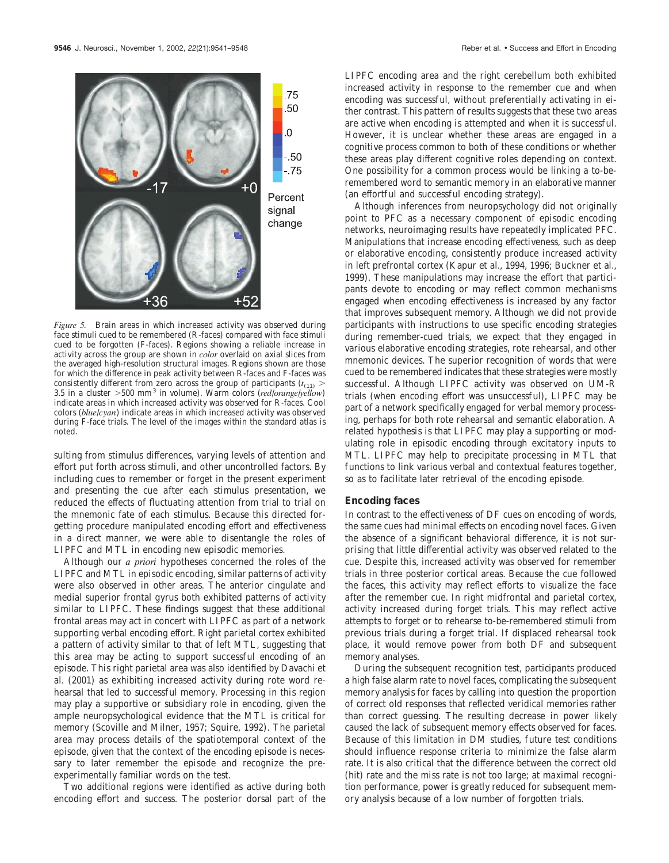

*Figure 5.* Brain areas in which increased activity was observed during face stimuli cued to be remembered (R-faces) compared with face stimuli cued to be forgotten (F-faces). Regions showing a reliable increase in activity across the group are shown in *color* overlaid on axial slices from the averaged high-resolution structural images. Regions shown are those for which the difference in peak activity between R-faces and F-faces was consistently different from zero across the group of participants  $(t_{(11)})$ 3.5 in a cluster 500 mm<sup>3</sup> in volume). Warm colors (*red*/*orange*/*yellow*) indicate areas in which increased activity was observed for R-faces. Cool colors (*blue*/*cyan*) indicate areas in which increased activity was observed during F-face trials. The level of the images within the standard atlas is noted.

sulting from stimulus differences, varying levels of attention and effort put forth across stimuli, and other uncontrolled factors. By including cues to remember or forget in the present experiment and presenting the cue after each stimulus presentation, we reduced the effects of fluctuating attention from trial to trial on the mnemonic fate of each stimulus. Because this directed forgetting procedure manipulated encoding effort and effectiveness in a direct manner, we were able to disentangle the roles of LIPFC and MTL in encoding new episodic memories.

Although our *a priori* hypotheses concerned the roles of the LIPFC and MTL in episodic encoding, similar patterns of activity were also observed in other areas. The anterior cingulate and medial superior frontal gyrus both exhibited patterns of activity similar to LIPFC. These findings suggest that these additional frontal areas may act in concert with LIPFC as part of a network supporting verbal encoding effort. Right parietal cortex exhibited a pattern of activity similar to that of left MTL, suggesting that this area may be acting to support successful encoding of an episode. This right parietal area was also identified by Davachi et al. (2001) as exhibiting increased activity during rote word rehearsal that led to successful memory. Processing in this region may play a supportive or subsidiary role in encoding, given the ample neuropsychological evidence that the MTL is critical for memory (Scoville and Milner, 1957; Squire, 1992). The parietal area may process details of the spatiotemporal context of the episode, given that the context of the encoding episode is necessary to later remember the episode and recognize the preexperimentally familiar words on the test.

Two additional regions were identified as active during both encoding effort and success. The posterior dorsal part of the LIPFC encoding area and the right cerebellum both exhibited increased activity in response to the remember cue and when encoding was successful, without preferentially activating in either contrast. This pattern of results suggests that these two areas are active when encoding is attempted and when it is successful. However, it is unclear whether these areas are engaged in a cognitive process common to both of these conditions or whether these areas play different cognitive roles depending on context. One possibility for a common process would be linking a to-beremembered word to semantic memory in an elaborative manner (an effortful and successful encoding strategy).

Although inferences from neuropsychology did not originally point to PFC as a necessary component of episodic encoding networks, neuroimaging results have repeatedly implicated PFC. Manipulations that increase encoding effectiveness, such as deep or elaborative encoding, consistently produce increased activity in left prefrontal cortex (Kapur et al., 1994, 1996; Buckner et al., 1999). These manipulations may increase the effort that participants devote to encoding or may reflect common mechanisms engaged when encoding effectiveness is increased by any factor that improves subsequent memory. Although we did not provide participants with instructions to use specific encoding strategies during remember-cued trials, we expect that they engaged in various elaborative encoding strategies, rote rehearsal, and other mnemonic devices. The superior recognition of words that were cued to be remembered indicates that these strategies were mostly successful. Although LIPFC activity was observed on UM-R trials (when encoding effort was unsuccessful), LIPFC may be part of a network specifically engaged for verbal memory processing, perhaps for both rote rehearsal and semantic elaboration. A related hypothesis is that LIPFC may play a supporting or modulating role in episodic encoding through excitatory inputs to MTL. LIPFC may help to precipitate processing in MTL that functions to link various verbal and contextual features together, so as to facilitate later retrieval of the encoding episode.

### **Encoding faces**

In contrast to the effectiveness of DF cues on encoding of words, the same cues had minimal effects on encoding novel faces. Given the absence of a significant behavioral difference, it is not surprising that little differential activity was observed related to the cue. Despite this, increased activity was observed for remember trials in three posterior cortical areas. Because the cue followed the faces, this activity may reflect efforts to visualize the face after the remember cue. In right midfrontal and parietal cortex, activity increased during forget trials. This may reflect active attempts to forget or to rehearse to-be-remembered stimuli from previous trials during a forget trial. If displaced rehearsal took place, it would remove power from both DF and subsequent memory analyses.

During the subsequent recognition test, participants produced a high false alarm rate to novel faces, complicating the subsequent memory analysis for faces by calling into question the proportion of correct old responses that reflected veridical memories rather than correct guessing. The resulting decrease in power likely caused the lack of subsequent memory effects observed for faces. Because of this limitation in DM studies, future test conditions should influence response criteria to minimize the false alarm rate. It is also critical that the difference between the correct old (hit) rate and the miss rate is not too large; at maximal recognition performance, power is greatly reduced for subsequent memory analysis because of a low number of forgotten trials.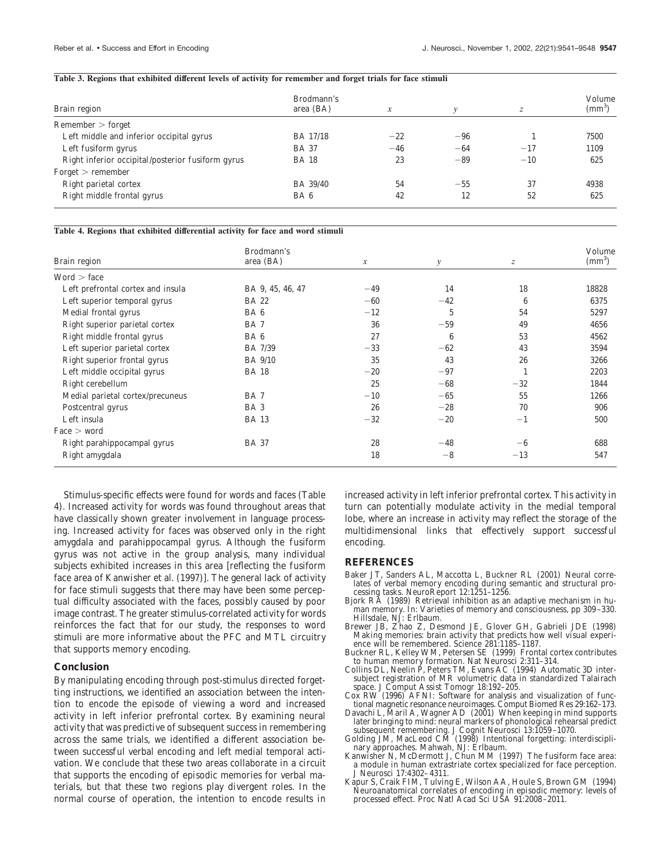## **Table 3. Regions that exhibited different levels of activity for remember and forget trials for face stimuli**

| Brain region                                      | Brodmann's<br>area (BA) | $\boldsymbol{x}$ |       |       | Volume<br>$\rm (mm^3)$ |
|---------------------------------------------------|-------------------------|------------------|-------|-------|------------------------|
| Remember > forget                                 |                         |                  |       |       |                        |
| Left middle and inferior occipital gyrus          | <b>BA</b> 17/18         | $-22$            | $-96$ |       | 7500                   |
| Left fusiform gyrus                               | <b>BA 37</b>            | $-46$            | $-64$ | $-17$ | 1109                   |
| Right inferior occipital/posterior fusiform gyrus | <b>BA</b> 18            | 23               | $-89$ | $-10$ | 625                    |
| $\text{Forget} > \text{remember}$                 |                         |                  |       |       |                        |
| Right parietal cortex                             | BA 39/40                | 54               | $-55$ | 37    | 4938                   |
| Right middle frontal gyrus                        | BA 6                    | 42               | 12    | 52    | 625                    |

**Table 4. Regions that exhibited differential activity for face and word stimuli**

| Brain region                      | Brodmann's<br>area (BA) | $\mathcal{X}$ | $\mathcal{V}$ | $\mathcal{Z}$ | Volume<br>(mm <sup>3</sup> ) |
|-----------------------------------|-------------------------|---------------|---------------|---------------|------------------------------|
| Word > face                       |                         |               |               |               |                              |
| Left prefrontal cortex and insula | BA 9, 45, 46, 47        | $-49$         | 14            | 18            | 18828                        |
| Left superior temporal gyrus      | <b>BA 22</b>            | $-60$         | $-42$         | 6             | 6375                         |
| Medial frontal gyrus              | BA 6                    | $-12$         | 5             | 54            | 5297                         |
| Right superior parietal cortex    | BA <sub>7</sub>         | 36            | $-59$         | 49            | 4656                         |
| Right middle frontal gyrus        | BA 6                    | 27            | 6             | 53            | 4562                         |
| Left superior parietal cortex     | <b>BA 7/39</b>          | $-33$         | $-62$         | 43            | 3594                         |
| Right superior frontal gyrus      | <b>BA</b> 9/10          | 35            | 43            | 26            | 3266                         |
| Left middle occipital gyrus       | <b>BA</b> 18            | $-20$         | $-97$         |               | 2203                         |
| Right cerebellum                  |                         | 25            | $-68$         | $-32$         | 1844                         |
| Medial parietal cortex/precuneus  | BA <sub>7</sub>         | $-10$         | $-65$         | 55            | 1266                         |
| Postcentral gyrus                 | BA <sub>3</sub>         | 26            | $-28$         | 70            | 906                          |
| Left insula                       | <b>BA</b> 13            | $-32$         | $-20$         | $-1$          | 500                          |
| $Face$ $>$ word                   |                         |               |               |               |                              |
| Right parahippocampal gyrus       | <b>BA 37</b>            | 28            | $-48$         | $-6$          | 688                          |
| Right amygdala                    |                         | 18            | $-8$          | $-13$         | 547                          |

Stimulus-specific effects were found for words and faces (Table 4). Increased activity for words was found throughout areas that have classically shown greater involvement in language processing. Increased activity for faces was observed only in the right amygdala and parahippocampal gyrus. Although the fusiform gyrus was not active in the group analysis, many individual subjects exhibited increases in this area [reflecting the fusiform face area of Kanwisher et al. (1997)]. The general lack of activity for face stimuli suggests that there may have been some perceptual difficulty associated with the faces, possibly caused by poor image contrast. The greater stimulus-correlated activity for words reinforces the fact that for our study, the responses to word stimuli are more informative about the PFC and MTL circuitry that supports memory encoding.

### **Conclusion**

By manipulating encoding through post-stimulus directed forgetting instructions, we identified an association between the intention to encode the episode of viewing a word and increased activity in left inferior prefrontal cortex. By examining neural activity that was predictive of subsequent success in remembering across the same trials, we identified a different association between successful verbal encoding and left medial temporal activation. We conclude that these two areas collaborate in a circuit that supports the encoding of episodic memories for verbal materials, but that these two regions play divergent roles. In the normal course of operation, the intention to encode results in

increased activity in left inferior prefrontal cortex. This activity in turn can potentially modulate activity in the medial temporal lobe, where an increase in activity may reflect the storage of the multidimensional links that effectively support successful encoding.

# **REFERENCES**

- Baker JT, Sanders AL, Maccotta L, Buckner RL (2001) Neural correlates of verbal memory encoding during semantic and structural processing tasks. NeuroReport 12:1251–1256.
- Bjork RA (1989) Retrieval inhibition as an adaptive mechanism in human memory. In: Varieties of memory and consciousness, pp 309–330. Hillsdale, NJ: Erlbaum.
- Brewer JB, Zhao Z, Desmond JE, Glover GH, Gabrieli JDE (1998) Making memories: brain activity that predicts how well visual experience will be remembered. Science 281:1185–1187.
- Buckner RL, Kelley WM, Petersen SE (1999) Frontal cortex contributes to human memory formation. Nat Neurosci 2:311–314.
- Collins DL, Neelin P, Peters TM, Evans AC (1994) Automatic 3D intersubject registration of MR volumetric data in standardized Talairach space. J Comput Assist Tomogr 18:192-205.
- Cox RW (1996) AFNI: Software for analysis and visualization of functional magnetic resonance neuroimages. Comput Biomed Res 29:162–173.
- Davachi L, Maril A, Wagner AD (2001) When keeping in mind supports later bringing to mind: neural markers of phonological rehearsal predict subsequent remembering. J Cognit Neurosci 13:1059–1070.
- Golding JM, MacLeod CM (1998) Intentional forgetting: interdisciplinary approaches. Mahwah, NJ: Erlbaum.
- Kanwisher N, McDermott J, Chun MM (1997) The fusiform face area: a module in human extrastriate cortex specialized for face perception. J Neurosci 17:4302–4311.
- Kapur S, Craik FIM, Tulving E, Wilson AA, Houle S, Brown GM (1994) Neuroanatomical correlates of encoding in episodic memory: levels of processed effect. Proc Natl Acad Sci USA 91:2008–2011.